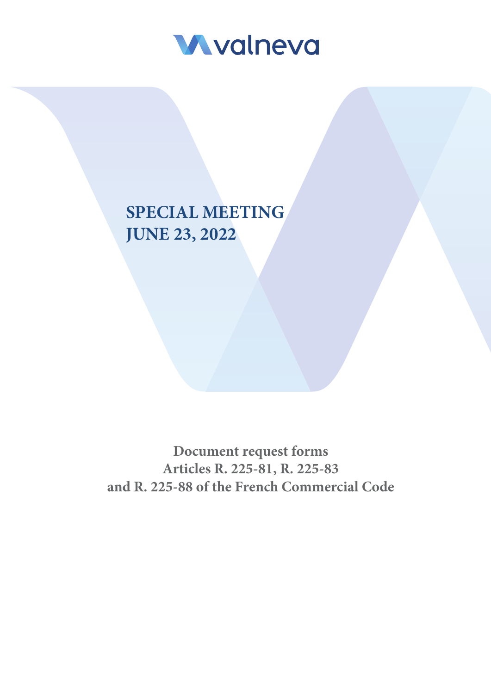

# **SPECIAL MEETING JUNE 23, 2022**

**Document request forms Articles R. 225-81, R. 225-83 and R. 225-88 of the French Commercial Code**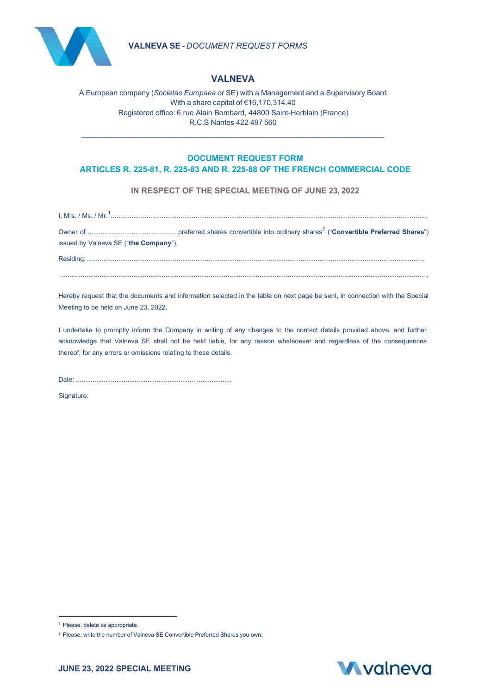



## **VALNEVA**

A European company (*Societas Europaea* or SE) with a Management and a Supervisory Board With a share capital of €16,170,314.40 Registered office: 6 rue Alain Bombard, 44800 Saint-Herblain (France) R.C.S Nantes 422 497 560

\_\_\_\_\_\_\_\_\_\_\_\_\_\_\_\_\_\_\_\_\_\_\_\_\_\_\_\_\_\_\_\_\_\_\_\_\_\_\_\_\_\_\_\_\_\_\_\_\_\_\_\_\_\_\_\_\_\_\_\_\_\_\_\_\_\_

### **DOCUMENT REQUEST FORM ARTICLES R. 225-81, R. 225-83 AND R. 225-88 OF THE FRENCH COMMERCIAL CODE**

**IN RESPECT OF THE SPECIAL MEETING OF JUNE 23, 2022**

|                                       | $1, Mrs. / Ms. / Mr.1$ |  |
|---------------------------------------|------------------------|--|
|                                       |                        |  |
| issued by Valneva SE ("the Company"), |                        |  |
|                                       |                        |  |
|                                       |                        |  |
|                                       |                        |  |

Hereby request that the documents and information selected in the table on next page be sent, in connection with the Special Meeting to be held on June 23, 2022.

I undertake to promptly inform the Company in writing of any changes to the contact details provided above, and further acknowledge that Valneva SE shall not be held liable, for any reason whatsoever and regardless of the consequences thereof, for any errors or omissions relating to these details.

Date: .....................................................................................

Signature:



<sup>&</sup>lt;sup>1</sup> Please, delete as appropriate.

<sup>2</sup> Please, write the number of Valneva SE Convertible Preferred Shares you own.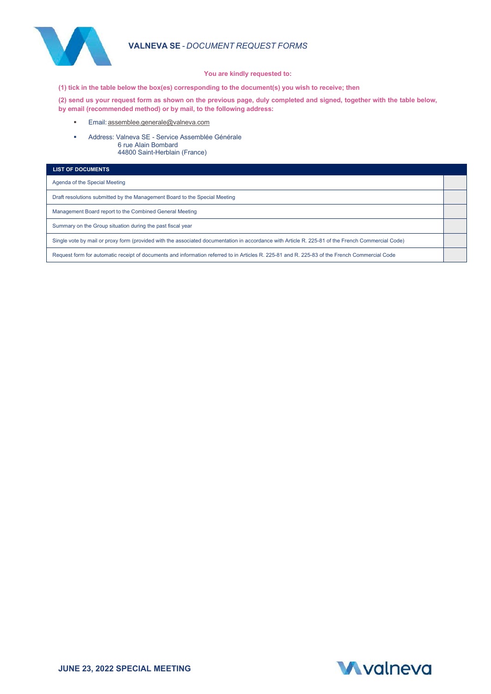

### **VALNEVA SE** - *DOCUMENT REQUEST FORMS*

#### **You are kindly requested to:**

**(1) tick in the table below the box(es) corresponding to the document(s) you wish to receive; then**

**(2) send us your request form as shown on the previous page, duly completed and signed, together with the table below, by email (recommended method) or by mail, to the following address:**

- **Email:** [assemblee.generale@valneva.com](mailto:assemblee.generale@valneva.com)
- Address: Valneva SE Service Assemblée Générale 6 rue Alain Bombard 44800 Saint-Herblain (France)

| <b>LIST OF DOCUMENTS</b>                                                                                                                          |  |
|---------------------------------------------------------------------------------------------------------------------------------------------------|--|
| Agenda of the Special Meeting                                                                                                                     |  |
| Draft resolutions submitted by the Management Board to the Special Meeting                                                                        |  |
| Management Board report to the Combined General Meeting                                                                                           |  |
| Summary on the Group situation during the past fiscal year                                                                                        |  |
| Single vote by mail or proxy form (provided with the associated documentation in accordance with Article R. 225-81 of the French Commercial Code) |  |
| Request form for automatic receipt of documents and information referred to in Articles R. 225-81 and R. 225-83 of the French Commercial Code     |  |